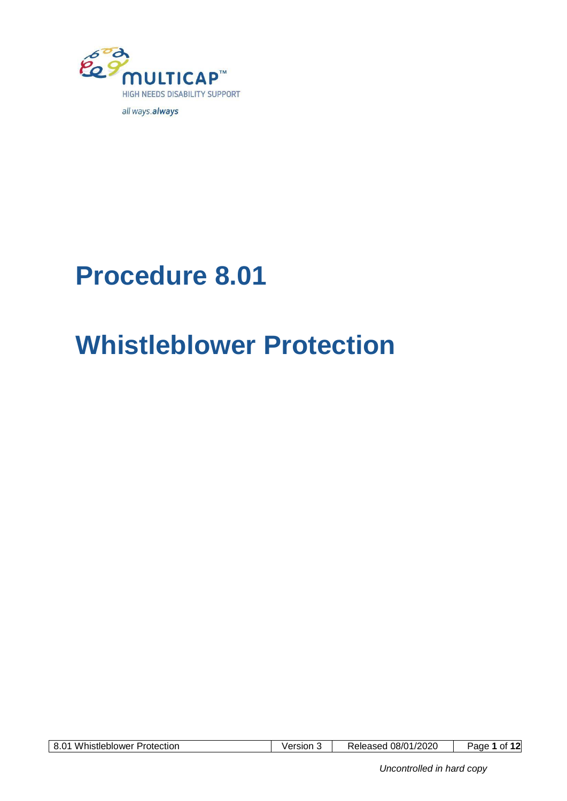

# **Procedure 8.01**

# **Whistleblower Protection**

| <b>Whistleblower Protection</b><br>8.01 | Version | Released 08/01/2020 | of 12<br>Page <sup>r</sup> |
|-----------------------------------------|---------|---------------------|----------------------------|
|-----------------------------------------|---------|---------------------|----------------------------|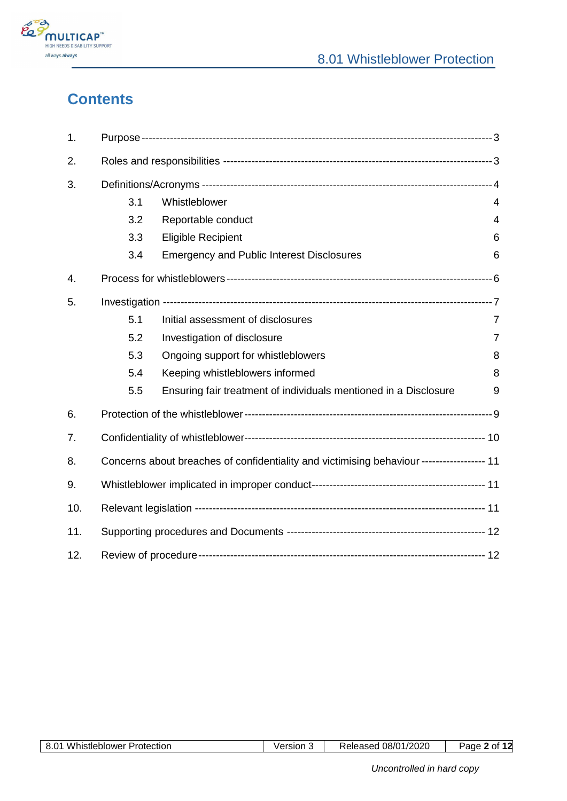

## **Contents**

| 1.  |     |                                                                                           |                |
|-----|-----|-------------------------------------------------------------------------------------------|----------------|
| 2.  |     |                                                                                           |                |
| 3.  |     |                                                                                           |                |
|     | 3.1 | Whistleblower                                                                             | $\overline{4}$ |
|     | 3.2 | Reportable conduct                                                                        | 4              |
|     | 3.3 | <b>Eligible Recipient</b>                                                                 | 6              |
|     | 3.4 | <b>Emergency and Public Interest Disclosures</b>                                          | 6              |
| 4.  |     |                                                                                           |                |
| 5.  |     |                                                                                           |                |
|     | 5.1 | Initial assessment of disclosures                                                         | $\overline{7}$ |
|     | 5.2 | Investigation of disclosure                                                               | $\overline{7}$ |
|     | 5.3 | Ongoing support for whistleblowers                                                        | 8              |
|     | 5.4 | Keeping whistleblowers informed                                                           | 8              |
|     | 5.5 | Ensuring fair treatment of individuals mentioned in a Disclosure                          | 9              |
| 6.  |     |                                                                                           |                |
| 7.  |     |                                                                                           |                |
| 8.  |     | Concerns about breaches of confidentiality and victimising behaviour ----------------- 11 |                |
| 9.  |     |                                                                                           |                |
| 10. |     |                                                                                           |                |
| 11. |     |                                                                                           |                |
| 12. |     |                                                                                           |                |

| ନ୍ଦ<br>Whistleblower<br>Protection<br>v.v | Version | 08/01/2020<br>Released | - 2<br>Page<br>- 01 |
|-------------------------------------------|---------|------------------------|---------------------|
|-------------------------------------------|---------|------------------------|---------------------|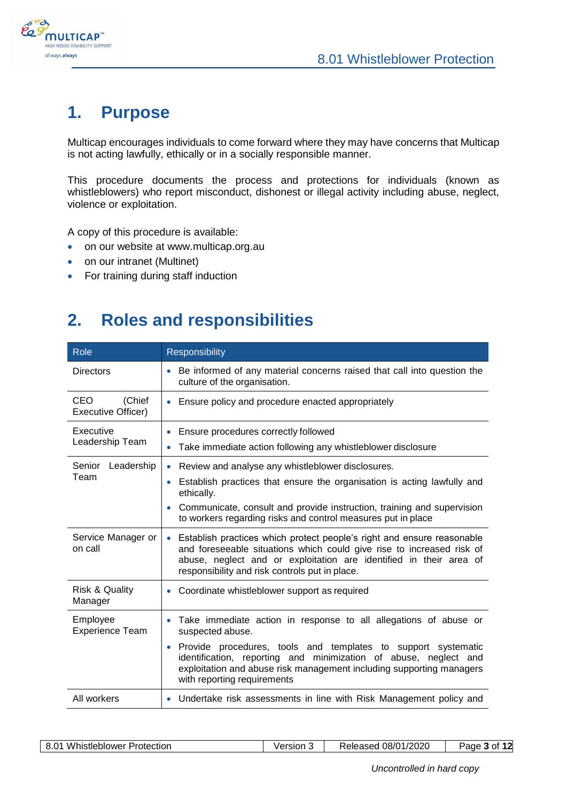

## <span id="page-2-0"></span>**1. Purpose**

Multicap encourages individuals to come forward where they may have concerns that Multicap is not acting lawfully, ethically or in a socially responsible manner.

This procedure documents the process and protections for individuals (known as whistleblowers) who report misconduct, dishonest or illegal activity including abuse, neglect, violence or exploitation.

A copy of this procedure is available:

- on our website at www.multicap.org.au
- on our intranet (Multinet)
- <span id="page-2-1"></span>• For training during staff induction

## **2. Roles and responsibilities**

| Role                                 | <b>Responsibility</b>                                                                                                                                                                                                                                                                |
|--------------------------------------|--------------------------------------------------------------------------------------------------------------------------------------------------------------------------------------------------------------------------------------------------------------------------------------|
| <b>Directors</b>                     | Be informed of any material concerns raised that call into question the<br>$\bullet$<br>culture of the organisation.                                                                                                                                                                 |
| (Chief<br>CEO.<br>Executive Officer) | Ensure policy and procedure enacted appropriately<br>$\bullet$                                                                                                                                                                                                                       |
| Executive                            | Ensure procedures correctly followed                                                                                                                                                                                                                                                 |
| Leadership Team                      | Take immediate action following any whistleblower disclosure<br>۰                                                                                                                                                                                                                    |
| Senior Leadership                    | Review and analyse any whistleblower disclosures.<br>$\bullet$                                                                                                                                                                                                                       |
| Team                                 | Establish practices that ensure the organisation is acting lawfully and<br>$\bullet$<br>ethically.                                                                                                                                                                                   |
|                                      | Communicate, consult and provide instruction, training and supervision<br>$\bullet$<br>to workers regarding risks and control measures put in place                                                                                                                                  |
| Service Manager or<br>on call        | Establish practices which protect people's right and ensure reasonable<br>$\bullet$<br>and foreseeable situations which could give rise to increased risk of<br>abuse, neglect and or exploitation are identified in their area of<br>responsibility and risk controls put in place. |
| <b>Risk &amp; Quality</b><br>Manager | • Coordinate whistleblower support as required                                                                                                                                                                                                                                       |
| Employee<br><b>Experience Team</b>   | Take immediate action in response to all allegations of abuse or<br>$\bullet$<br>suspected abuse.                                                                                                                                                                                    |
|                                      | Provide procedures, tools and templates to support systematic<br>$\bullet$<br>identification, reporting and minimization of abuse, neglect and<br>exploitation and abuse risk management including supporting managers<br>with reporting requirements                                |
| All workers                          | Undertake risk assessments in line with Risk Management policy and<br>۰                                                                                                                                                                                                              |

| 8.01 Whistleblower Protection |  |
|-------------------------------|--|
|-------------------------------|--|

8.01 Whistleblower Protection Version 3 Released 08/01/2020 Page **3** of **12**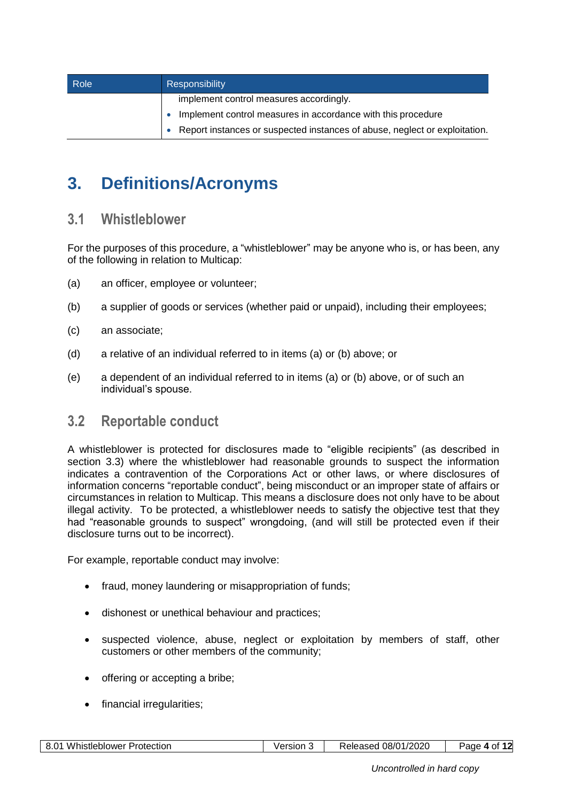| Role | Responsibility                                                             |
|------|----------------------------------------------------------------------------|
|      | implement control measures accordingly.                                    |
|      | Implement control measures in accordance with this procedure               |
|      | Report instances or suspected instances of abuse, neglect or exploitation. |

# <span id="page-3-0"></span>**3. Definitions/Acronyms**

#### <span id="page-3-1"></span>**3.1 Whistleblower**

For the purposes of this procedure, a "whistleblower" may be anyone who is, or has been, any of the following in relation to Multicap:

- <span id="page-3-3"></span>(a) an officer, employee or volunteer;
- <span id="page-3-4"></span>(b) a supplier of goods or services (whether paid or unpaid), including their employees;
- (c) an associate;
- (d) a relative of an individual referred to in items [\(a\)](#page-3-3) or [\(b\)](#page-3-4) above; or
- (e) a dependent of an individual referred to in items [\(a\)](#page-3-3) or [\(b\)](#page-3-4) above, or of such an individual's spouse.

#### <span id="page-3-2"></span>**3.2 Reportable conduct**

A whistleblower is protected for disclosures made to "eligible recipients" (as described in section [3.3\)](#page-5-0) where the whistleblower had reasonable grounds to suspect the information indicates a contravention of the Corporations Act or other laws, or where disclosures of information concerns "reportable conduct", being misconduct or an improper state of affairs or circumstances in relation to Multicap. This means a disclosure does not only have to be about illegal activity. To be protected, a whistleblower needs to satisfy the objective test that they had "reasonable grounds to suspect" wrongdoing, (and will still be protected even if their disclosure turns out to be incorrect).

For example, reportable conduct may involve:

- fraud, money laundering or misappropriation of funds;
- dishonest or unethical behaviour and practices;
- suspected violence, abuse, neglect or exploitation by members of staff, other customers or other members of the community;
- offering or accepting a bribe;
- financial irregularities;

| Whistleblower<br>-8.01<br>Protection | √ersıon | 08/01/2020<br>≺eleased | Ωt<br>age<br>$\mathbf{u}$ |
|--------------------------------------|---------|------------------------|---------------------------|
|--------------------------------------|---------|------------------------|---------------------------|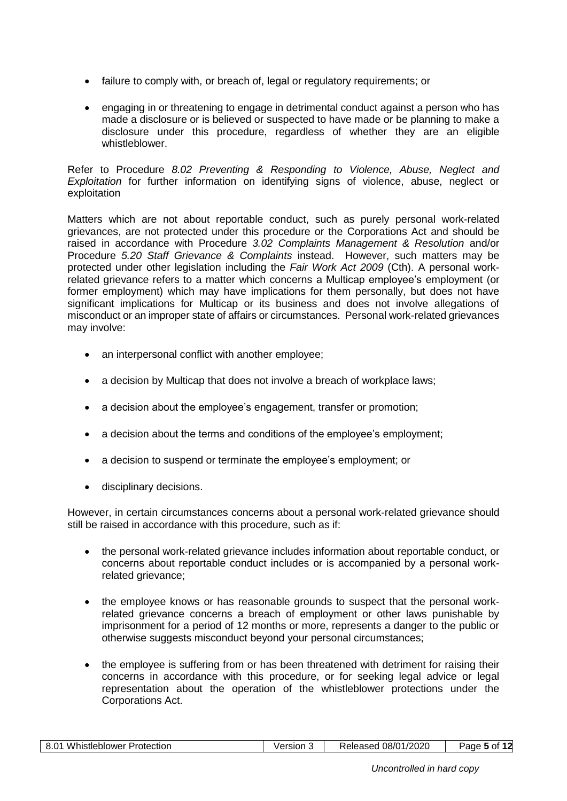- failure to comply with, or breach of, legal or regulatory requirements; or
- engaging in or threatening to engage in detrimental conduct against a person who has made a disclosure or is believed or suspected to have made or be planning to make a disclosure under this procedure, regardless of whether they are an eligible whistleblower.

Refer to Procedure *8.02 Preventing & Responding to Violence, Abuse, Neglect and Exploitation* for further information on identifying signs of violence, abuse, neglect or exploitation

Matters which are not about reportable conduct, such as purely personal work-related grievances, are not protected under this procedure or the Corporations Act and should be raised in accordance with Procedure *3.02 Complaints Management & Resolution* and/or Procedure *5.20 Staff Grievance & Complaints* instead. However, such matters may be protected under other legislation including the *Fair Work Act 2009* (Cth). A personal workrelated grievance refers to a matter which concerns a Multicap employee's employment (or former employment) which may have implications for them personally, but does not have significant implications for Multicap or its business and does not involve allegations of misconduct or an improper state of affairs or circumstances. Personal work-related grievances may involve:

- an interpersonal conflict with another employee;
- a decision by Multicap that does not involve a breach of workplace laws;
- a decision about the employee's engagement, transfer or promotion;
- a decision about the terms and conditions of the employee's employment;
- a decision to suspend or terminate the employee's employment; or
- disciplinary decisions.

However, in certain circumstances concerns about a personal work-related grievance should still be raised in accordance with this procedure, such as if:

- the personal work-related grievance includes information about reportable conduct, or concerns about reportable conduct includes or is accompanied by a personal workrelated grievance;
- the employee knows or has reasonable grounds to suspect that the personal workrelated grievance concerns a breach of employment or other laws punishable by imprisonment for a period of 12 months or more, represents a danger to the public or otherwise suggests misconduct beyond your personal circumstances;
- the employee is suffering from or has been threatened with detriment for raising their concerns in accordance with this procedure, or for seeking legal advice or legal representation about the operation of the whistleblower protections under the Corporations Act.

| 08/01/2020<br><b>Whistleblower Protection</b><br>8.01<br>Released<br><b>Persion</b> 5<br>0t<br>aue |  |
|----------------------------------------------------------------------------------------------------|--|
|----------------------------------------------------------------------------------------------------|--|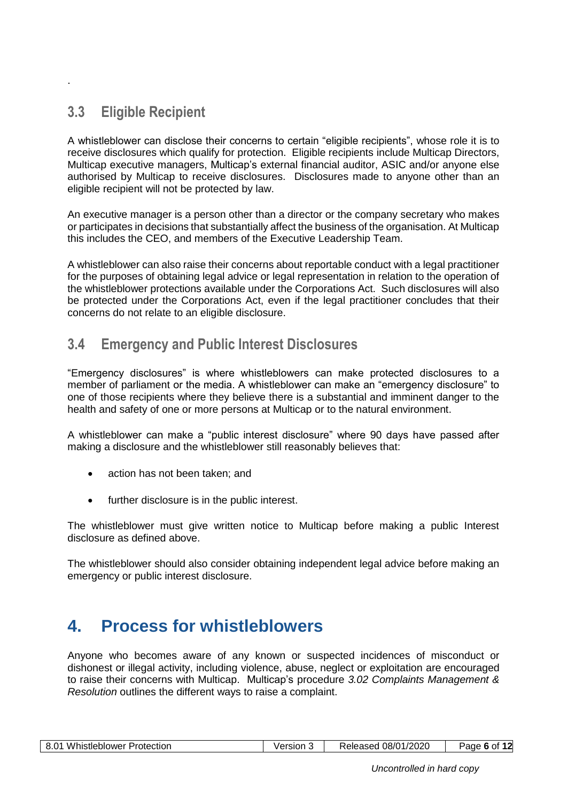### **3.3 Eligible Recipient**

<span id="page-5-0"></span>.

A whistleblower can disclose their concerns to certain "eligible recipients", whose role it is to receive disclosures which qualify for protection. Eligible recipients include Multicap Directors, Multicap executive managers, Multicap's external financial auditor, ASIC and/or anyone else authorised by Multicap to receive disclosures. Disclosures made to anyone other than an eligible recipient will not be protected by law.

An executive manager is a person other than a director or the company secretary who makes or participates in decisions that substantially affect the business of the organisation. At Multicap this includes the CEO, and members of the Executive Leadership Team.

A whistleblower can also raise their concerns about reportable conduct with a legal practitioner for the purposes of obtaining legal advice or legal representation in relation to the operation of the whistleblower protections available under the Corporations Act. Such disclosures will also be protected under the Corporations Act, even if the legal practitioner concludes that their concerns do not relate to an eligible disclosure.

#### <span id="page-5-1"></span>**3.4 Emergency and Public Interest Disclosures**

"Emergency disclosures" is where whistleblowers can make protected disclosures to a member of parliament or the media. A whistleblower can make an "emergency disclosure" to one of those recipients where they believe there is a substantial and imminent danger to the health and safety of one or more persons at Multicap or to the natural environment.

A whistleblower can make a "public interest disclosure" where 90 days have passed after making a disclosure and the whistleblower still reasonably believes that:

- action has not been taken; and
- further disclosure is in the public interest.

The whistleblower must give written notice to Multicap before making a public Interest disclosure as defined above.

<span id="page-5-2"></span>The whistleblower should also consider obtaining independent legal advice before making an emergency or public interest disclosure.

## **4. Process for whistleblowers**

Anyone who becomes aware of any known or suspected incidences of misconduct or dishonest or illegal activity, including violence, abuse, neglect or exploitation are encouraged to raise their concerns with Multicap. Multicap's procedure *3.02 Complaints Management & Resolution* outlines the different ways to raise a complaint.

| <b>Whistleblower F</b><br>$8.0^{\circ}$<br>Protection | Version | 08/01/2020<br>Released | ∩r<br>aae 6' |
|-------------------------------------------------------|---------|------------------------|--------------|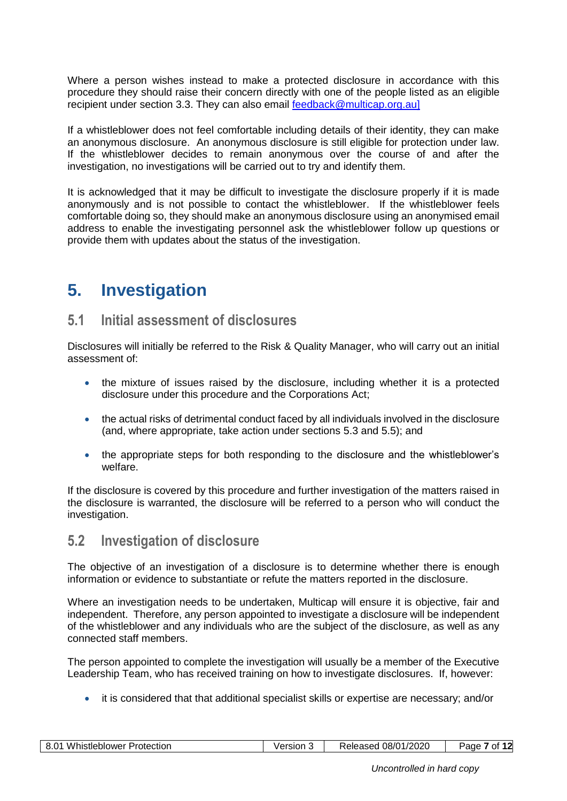Where a person wishes instead to make a protected disclosure in accordance with this procedure they should raise their concern directly with one of the people listed as an eligible recipient under section 3.3. They can also email [feedback@multicap.org.au\]](mailto:feedback@multicap.org.au)

If a whistleblower does not feel comfortable including details of their identity, they can make an anonymous disclosure. An anonymous disclosure is still eligible for protection under law. If the whistleblower decides to remain anonymous over the course of and after the investigation, no investigations will be carried out to try and identify them.

It is acknowledged that it may be difficult to investigate the disclosure properly if it is made anonymously and is not possible to contact the whistleblower. If the whistleblower feels comfortable doing so, they should make an anonymous disclosure using an anonymised email address to enable the investigating personnel ask the whistleblower follow up questions or provide them with updates about the status of the investigation.

# <span id="page-6-0"></span>**5. Investigation**

#### <span id="page-6-1"></span>**5.1 Initial assessment of disclosures**

Disclosures will initially be referred to the Risk & Quality Manager, who will carry out an initial assessment of:

- the mixture of issues raised by the disclosure, including whether it is a protected disclosure under this procedure and the Corporations Act;
- the actual risks of detrimental conduct faced by all individuals involved in the disclosure (and, where appropriate, take action under sections [5.3](#page-7-0) and [5.5\)](#page-8-0); and
- the appropriate steps for both responding to the disclosure and the whistleblower's welfare.

If the disclosure is covered by this procedure and further investigation of the matters raised in the disclosure is warranted, the disclosure will be referred to a person who will conduct the investigation.

#### <span id="page-6-2"></span>**5.2 Investigation of disclosure**

The objective of an investigation of a disclosure is to determine whether there is enough information or evidence to substantiate or refute the matters reported in the disclosure.

Where an investigation needs to be undertaken, Multicap will ensure it is objective, fair and independent. Therefore, any person appointed to investigate a disclosure will be independent of the whistleblower and any individuals who are the subject of the disclosure, as well as any connected staff members.

The person appointed to complete the investigation will usually be a member of the Executive Leadership Team, who has received training on how to investigate disclosures. If, however:

it is considered that that additional specialist skills or expertise are necessary; and/or

| - 92<br>۰.<br>. <b>.</b><br>otection<br>$1 - 1 - 1$<br>--<br>w<br>alistier<br>emower | ersion | $\sim$ $\sim$<br>$ -$<br>$\sim$<br>ירוכי<br>08/0<br>--<br>$\cdots$<br>, המחיר<br>' 1720ZU<br>$\sim$ $\sim$ $\sim$ $\sim$ $\sim$<br>705GU<br>____ | Ω1<br>эое |
|--------------------------------------------------------------------------------------|--------|--------------------------------------------------------------------------------------------------------------------------------------------------|-----------|
|--------------------------------------------------------------------------------------|--------|--------------------------------------------------------------------------------------------------------------------------------------------------|-----------|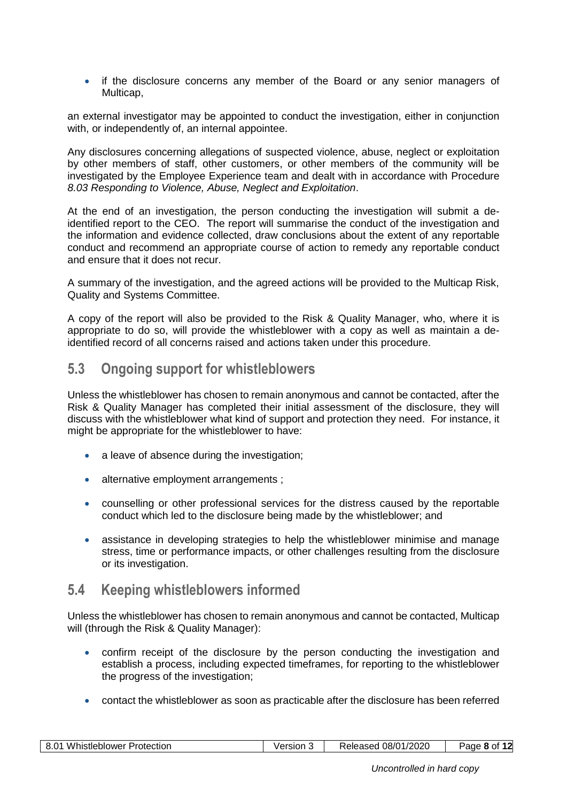• if the disclosure concerns any member of the Board or any senior managers of Multicap,

an external investigator may be appointed to conduct the investigation, either in conjunction with, or independently of, an internal appointee.

Any disclosures concerning allegations of suspected violence, abuse, neglect or exploitation by other members of staff, other customers, or other members of the community will be investigated by the Employee Experience team and dealt with in accordance with Procedure *8.03 Responding to Violence, Abuse, Neglect and Exploitation*.

At the end of an investigation, the person conducting the investigation will submit a deidentified report to the CEO. The report will summarise the conduct of the investigation and the information and evidence collected, draw conclusions about the extent of any reportable conduct and recommend an appropriate course of action to remedy any reportable conduct and ensure that it does not recur.

A summary of the investigation, and the agreed actions will be provided to the Multicap Risk, Quality and Systems Committee.

A copy of the report will also be provided to the Risk & Quality Manager, who, where it is appropriate to do so, will provide the whistleblower with a copy as well as maintain a deidentified record of all concerns raised and actions taken under this procedure.

#### <span id="page-7-0"></span>**5.3 Ongoing support for whistleblowers**

Unless the whistleblower has chosen to remain anonymous and cannot be contacted, after the Risk & Quality Manager has completed their initial assessment of the disclosure, they will discuss with the whistleblower what kind of support and protection they need. For instance, it might be appropriate for the whistleblower to have:

- a leave of absence during the investigation;
- alternative employment arrangements ;
- counselling or other professional services for the distress caused by the reportable conduct which led to the disclosure being made by the whistleblower; and
- assistance in developing strategies to help the whistleblower minimise and manage stress, time or performance impacts, or other challenges resulting from the disclosure or its investigation.

#### <span id="page-7-1"></span>**5.4 Keeping whistleblowers informed**

Unless the whistleblower has chosen to remain anonymous and cannot be contacted, Multicap will (through the Risk & Quality Manager):

- confirm receipt of the disclosure by the person conducting the investigation and establish a process, including expected timeframes, for reporting to the whistleblower the progress of the investigation;
- contact the whistleblower as soon as practicable after the disclosure has been referred

| <b>Whistleblower Protection</b> | Version | 08/01/2020 | Page 8 |
|---------------------------------|---------|------------|--------|
| 8.01                            |         | Released   | Ωt     |
|                                 |         |            |        |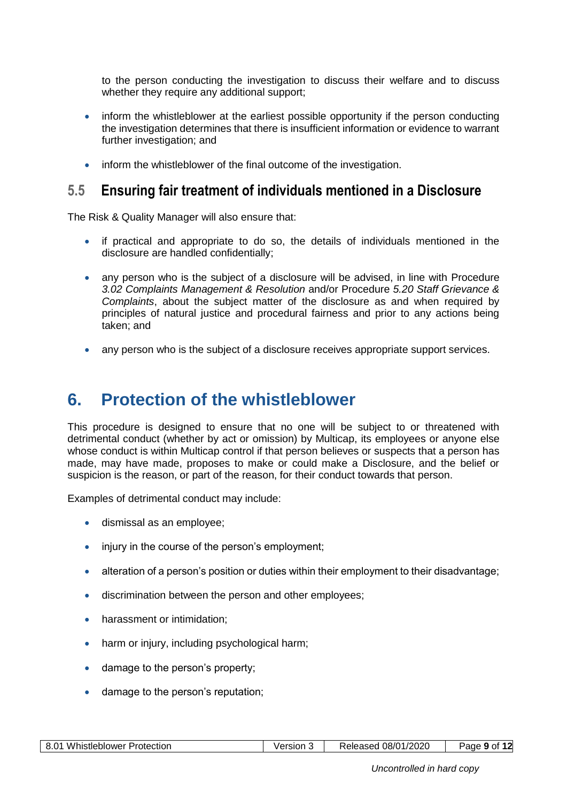to the person conducting the investigation to discuss their welfare and to discuss whether they require any additional support;

- inform the whistleblower at the earliest possible opportunity if the person conducting the investigation determines that there is insufficient information or evidence to warrant further investigation; and
- inform the whistleblower of the final outcome of the investigation.

#### <span id="page-8-0"></span>**5.5 Ensuring fair treatment of individuals mentioned in a Disclosure**

The Risk & Quality Manager will also ensure that:

- if practical and appropriate to do so, the details of individuals mentioned in the disclosure are handled confidentially;
- any person who is the subject of a disclosure will be advised, in line with Procedure *3.02 Complaints Management & Resolution* and/or Procedure *5.20 Staff Grievance & Complaints*, about the subject matter of the disclosure as and when required by principles of natural justice and procedural fairness and prior to any actions being taken; and
- <span id="page-8-1"></span>any person who is the subject of a disclosure receives appropriate support services.

### **6. Protection of the whistleblower**

This procedure is designed to ensure that no one will be subject to or threatened with detrimental conduct (whether by act or omission) by Multicap, its employees or anyone else whose conduct is within Multicap control if that person believes or suspects that a person has made, may have made, proposes to make or could make a Disclosure, and the belief or suspicion is the reason, or part of the reason, for their conduct towards that person.

Examples of detrimental conduct may include:

- dismissal as an employee;
- injury in the course of the person's employment;
- alteration of a person's position or duties within their employment to their disadvantage;
- discrimination between the person and other employees;
- harassment or intimidation;
- harm or injury, including psychological harm;
- damage to the person's property;
- damage to the person's reputation;

| Whistleblower<br>$\mathbf{R}$<br>ົດຈ<br>Protection<br>ັບ.ບ | /ersion | 08/01/2020<br>Released | 9 റ†<br>age |
|------------------------------------------------------------|---------|------------------------|-------------|
|------------------------------------------------------------|---------|------------------------|-------------|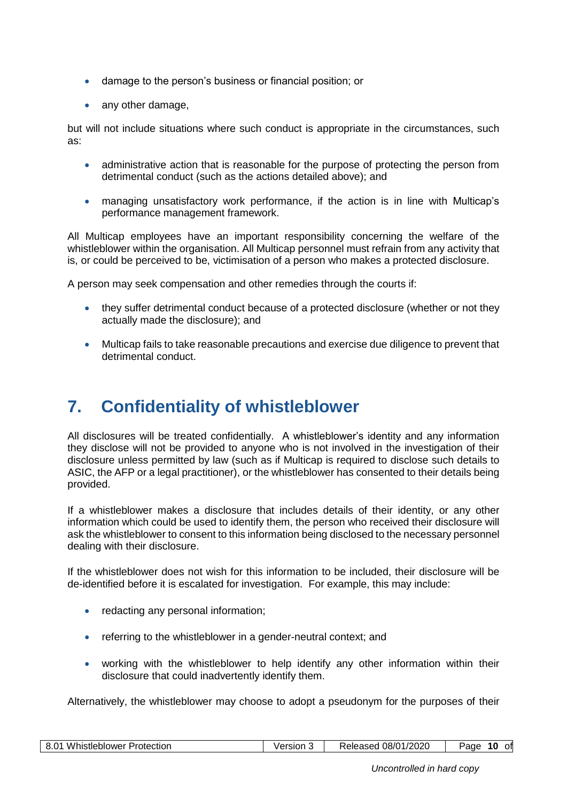- damage to the person's business or financial position; or
- any other damage,

but will not include situations where such conduct is appropriate in the circumstances, such as:

- administrative action that is reasonable for the purpose of protecting the person from detrimental conduct (such as the actions detailed above); and
- managing unsatisfactory work performance, if the action is in line with Multicap's performance management framework.

All Multicap employees have an important responsibility concerning the welfare of the whistleblower within the organisation. All Multicap personnel must refrain from any activity that is, or could be perceived to be, victimisation of a person who makes a protected disclosure.

A person may seek compensation and other remedies through the courts if:

- they suffer detrimental conduct because of a protected disclosure (whether or not they actually made the disclosure); and
- <span id="page-9-0"></span> Multicap fails to take reasonable precautions and exercise due diligence to prevent that detrimental conduct.

# **7. Confidentiality of whistleblower**

All disclosures will be treated confidentially. A whistleblower's identity and any information they disclose will not be provided to anyone who is not involved in the investigation of their disclosure unless permitted by law (such as if Multicap is required to disclose such details to ASIC, the AFP or a legal practitioner), or the whistleblower has consented to their details being provided.

If a whistleblower makes a disclosure that includes details of their identity, or any other information which could be used to identify them, the person who received their disclosure will ask the whistleblower to consent to this information being disclosed to the necessary personnel dealing with their disclosure.

If the whistleblower does not wish for this information to be included, their disclosure will be de-identified before it is escalated for investigation. For example, this may include:

- redacting any personal information;
- referring to the whistleblower in a gender-neutral context; and
- working with the whistleblower to help identify any other information within their disclosure that could inadvertently identify them.

Alternatively, the whistleblower may choose to adopt a pseudonym for the purposes of their

| 08/01/2020<br>$8.0^{\circ}$<br>10<br>Whistleblower F<br>Protection<br>/ersion<br>Released<br>otl<br>age |
|---------------------------------------------------------------------------------------------------------|
|---------------------------------------------------------------------------------------------------------|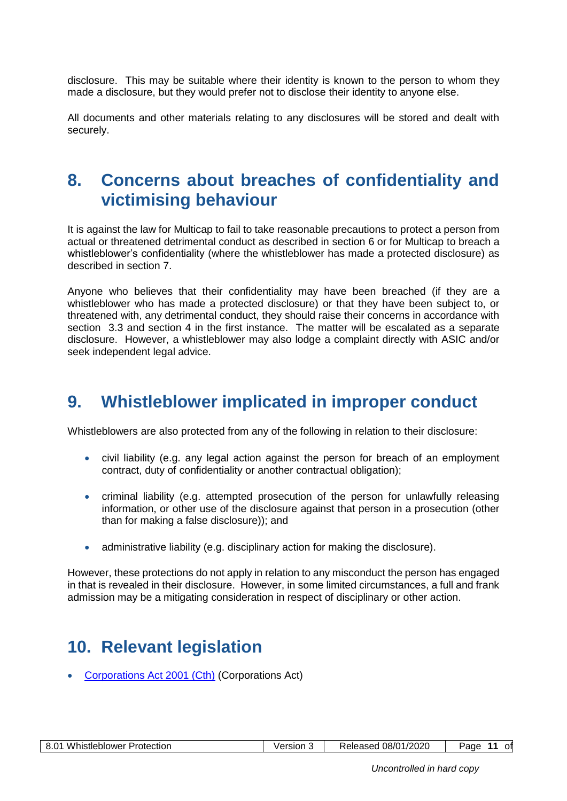disclosure. This may be suitable where their identity is known to the person to whom they made a disclosure, but they would prefer not to disclose their identity to anyone else.

<span id="page-10-0"></span>All documents and other materials relating to any disclosures will be stored and dealt with securely.

## **8. Concerns about breaches of confidentiality and victimising behaviour**

It is against the law for Multicap to fail to take reasonable precautions to protect a person from actual or threatened detrimental conduct as described in section [6](#page-8-1) or for Multicap to breach a whistleblower's confidentiality (where the whistleblower has made a protected disclosure) as described in section [7.](#page-9-0)

Anyone who believes that their confidentiality may have been breached (if they are a whistleblower who has made a protected disclosure) or that they have been subject to, or threatened with, any detrimental conduct, they should raise their concerns in accordance with section 3.3 and section 4 in the first instance. The matter will be escalated as a separate disclosure. However, a whistleblower may also lodge a complaint directly with ASIC and/or seek independent legal advice.

## <span id="page-10-1"></span>**9. Whistleblower implicated in improper conduct**

Whistleblowers are also protected from any of the following in relation to their disclosure:

- civil liability (e.g. any legal action against the person for breach of an employment contract, duty of confidentiality or another contractual obligation);
- criminal liability (e.g. attempted prosecution of the person for unlawfully releasing information, or other use of the disclosure against that person in a prosecution (other than for making a false disclosure)); and
- administrative liability (e.g. disciplinary action for making the disclosure).

<span id="page-10-2"></span>However, these protections do not apply in relation to any misconduct the person has engaged in that is revealed in their disclosure. However, in some limited circumstances, a full and frank admission may be a mitigating consideration in respect of disciplinary or other action.

## **10. Relevant legislation**

[Corporations Act 2001 \(Cth\)](https://www.legislation.gov.au/Details/C2019C00216) (Corporations Act)

| റ<br>Whistleblower<br>Protection<br>v.v | √ersıon<br>. . | 08/01/2020<br>Released | οfl<br>aae<br> |
|-----------------------------------------|----------------|------------------------|----------------|